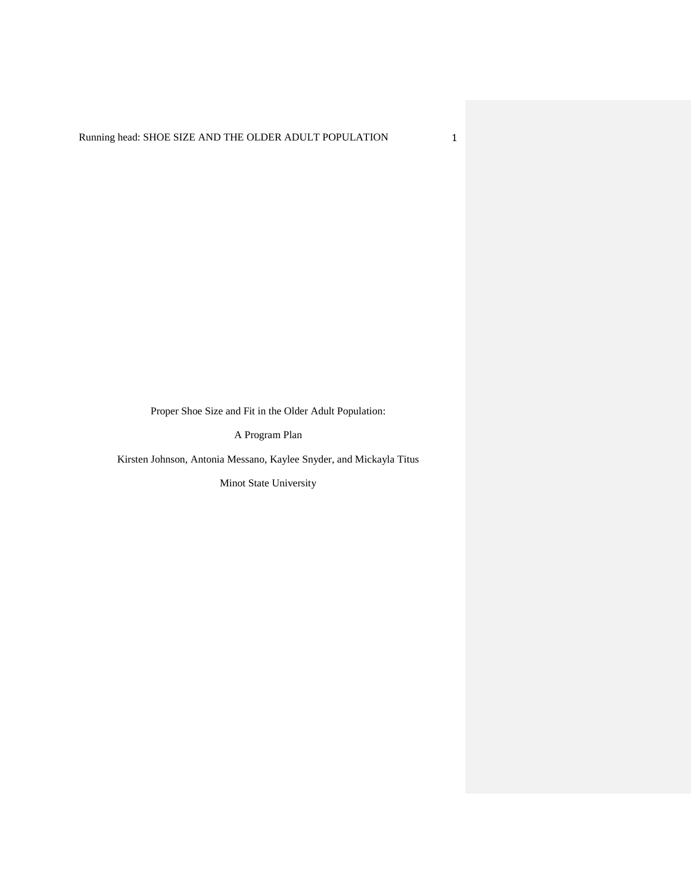Proper Shoe Size and Fit in the Older Adult Population:

A Program Plan

Kirsten Johnson, Antonia Messano, Kaylee Snyder, and Mickayla Titus

Minot State University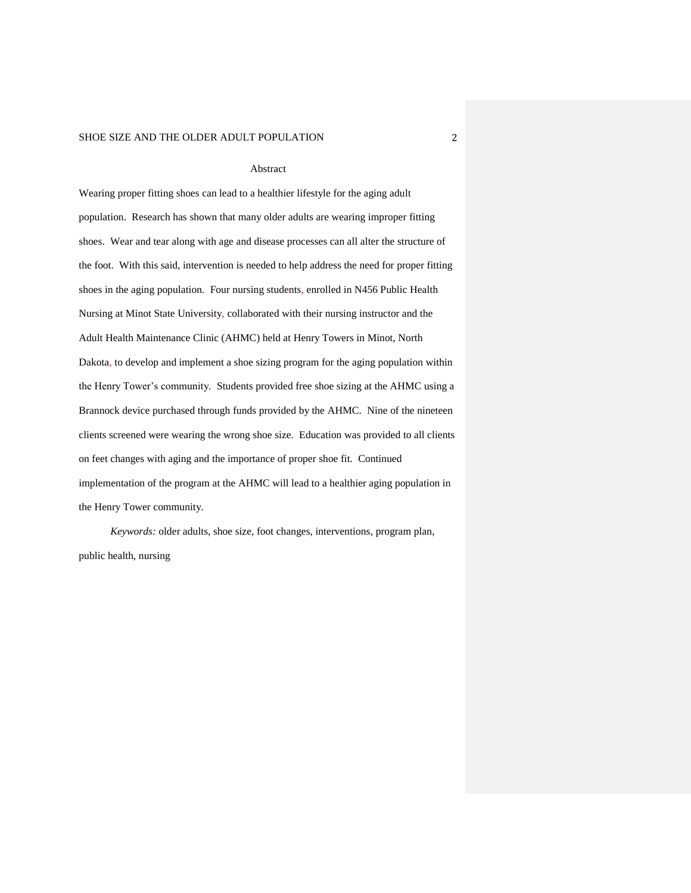#### Abstract

Wearing proper fitting shoes can lead to a healthier lifestyle for the aging adult population. Research has shown that many older adults are wearing improper fitting shoes. Wear and tear along with age and disease processes can all alter the structure of the foot. With this said, intervention is needed to help address the need for proper fitting shoes in the aging population. Four nursing students, enrolled in N456 Public Health Nursing at Minot State University, collaborated with their nursing instructor and the Adult Health Maintenance Clinic (AHMC) held at Henry Towers in Minot, North Dakota, to develop and implement a shoe sizing program for the aging population within the Henry Tower's community. Students provided free shoe sizing at the AHMC using a Brannock device purchased through funds provided by the AHMC. Nine of the nineteen clients screened were wearing the wrong shoe size. Education was provided to all clients on feet changes with aging and the importance of proper shoe fit. Continued implementation of the program at the AHMC will lead to a healthier aging population in the Henry Tower community.

*Keywords:* older adults, shoe size, foot changes, interventions, program plan, public health, nursing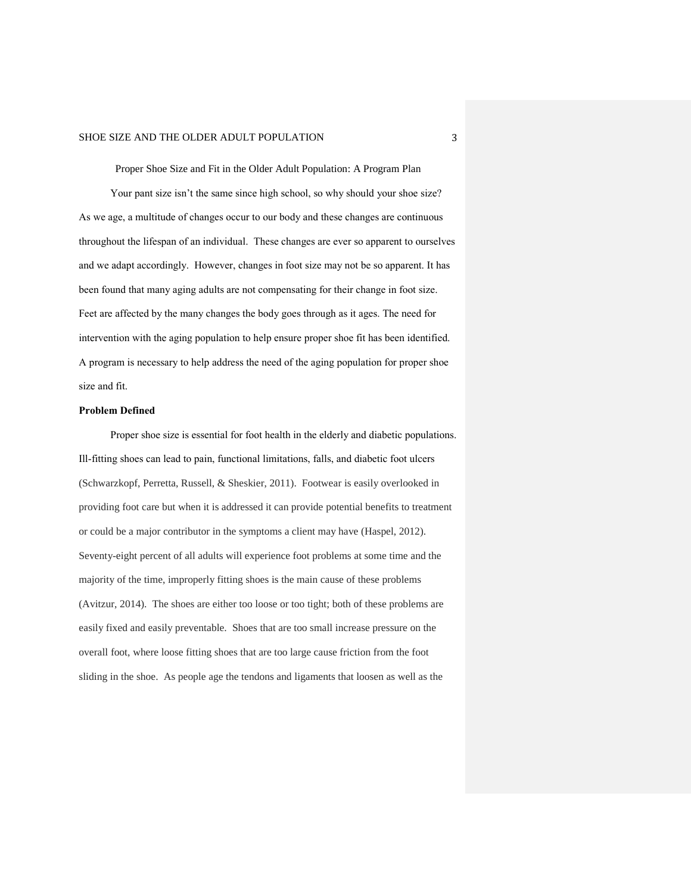Proper Shoe Size and Fit in the Older Adult Population: A Program Plan Your pant size isn't the same since high school, so why should your shoe size? As we age, a multitude of changes occur to our body and these changes are continuous throughout the lifespan of an individual. These changes are ever so apparent to ourselves and we adapt accordingly. However, changes in foot size may not be so apparent. It has been found that many aging adults are not compensating for their change in foot size. Feet are affected by the many changes the body goes through as it ages. The need for intervention with the aging population to help ensure proper shoe fit has been identified. A program is necessary to help address the need of the aging population for proper shoe size and fit.

#### **Problem Defined**

Proper shoe size is essential for foot health in the elderly and diabetic populations. Ill-fitting shoes can lead to pain, functional limitations, falls, and diabetic foot ulcers (Schwarzkopf, Perretta, Russell, & Sheskier, 2011). Footwear is easily overlooked in providing foot care but when it is addressed it can provide potential benefits to treatment or could be a major contributor in the symptoms a client may have (Haspel, 2012). Seventy-eight percent of all adults will experience foot problems at some time and the majority of the time, improperly fitting shoes is the main cause of these problems (Avitzur, 2014). The shoes are either too loose or too tight; both of these problems are easily fixed and easily preventable. Shoes that are too small increase pressure on the overall foot, where loose fitting shoes that are too large cause friction from the foot sliding in the shoe. As people age the tendons and ligaments that loosen as well as the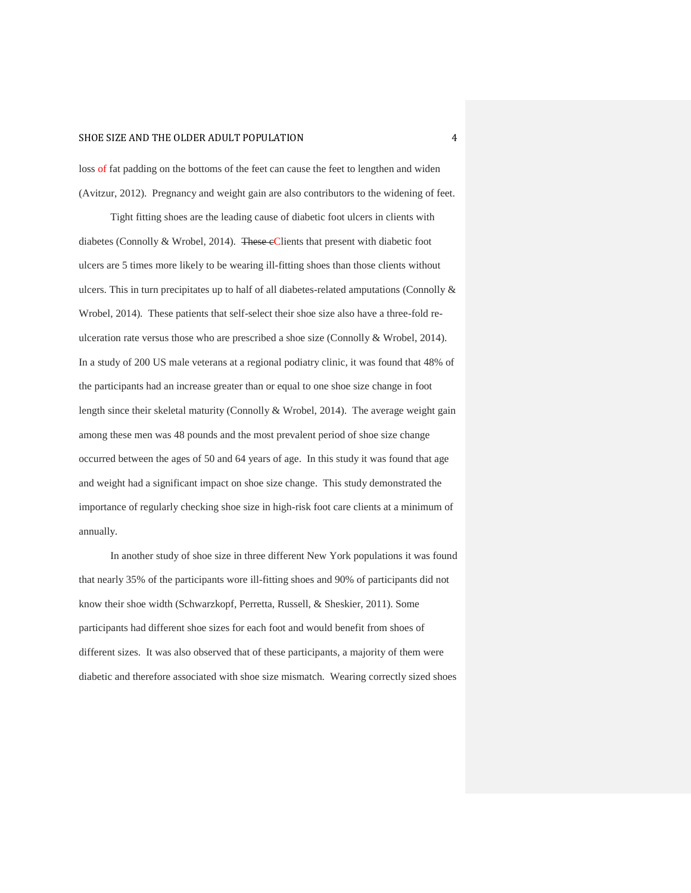loss of fat padding on the bottoms of the feet can cause the feet to lengthen and widen (Avitzur, 2012). Pregnancy and weight gain are also contributors to the widening of feet.

Tight fitting shoes are the leading cause of diabetic foot ulcers in clients with diabetes (Connolly & Wrobel, 2014). These eClients that present with diabetic foot ulcers are 5 times more likely to be wearing ill-fitting shoes than those clients without ulcers. This in turn precipitates up to half of all diabetes-related amputations (Connolly & Wrobel, 2014). These patients that self-select their shoe size also have a three-fold reulceration rate versus those who are prescribed a shoe size (Connolly & Wrobel, 2014). In a study of 200 US male veterans at a regional podiatry clinic, it was found that 48% of the participants had an increase greater than or equal to one shoe size change in foot length since their skeletal maturity (Connolly & Wrobel, 2014). The average weight gain among these men was 48 pounds and the most prevalent period of shoe size change occurred between the ages of 50 and 64 years of age. In this study it was found that age and weight had a significant impact on shoe size change. This study demonstrated the importance of regularly checking shoe size in high-risk foot care clients at a minimum of annually.

In another study of shoe size in three different New York populations it was found that nearly 35% of the participants wore ill-fitting shoes and 90% of participants did not know their shoe width (Schwarzkopf, Perretta, Russell, & Sheskier, 2011). Some participants had different shoe sizes for each foot and would benefit from shoes of different sizes. It was also observed that of these participants, a majority of them were diabetic and therefore associated with shoe size mismatch. Wearing correctly sized shoes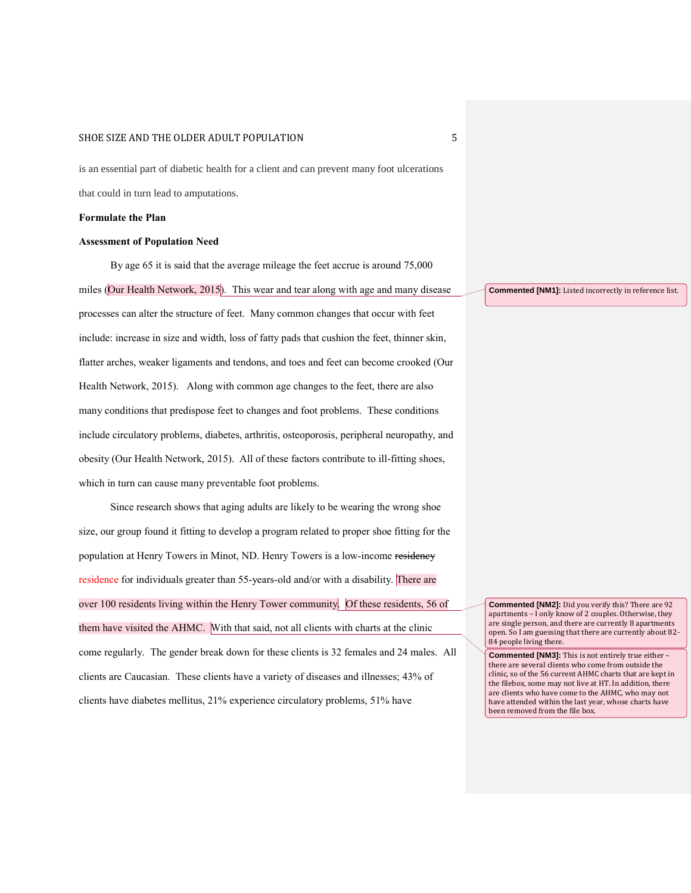is an essential part of diabetic health for a client and can prevent many foot ulcerations that could in turn lead to amputations.

#### **Formulate the Plan**

#### **Assessment of Population Need**

By age 65 it is said that the average mileage the feet accrue is around 75,000 miles (Our Health Network, 2015). This wear and tear along with age and many disease processes can alter the structure of feet. Many common changes that occur with feet include: increase in size and width, loss of fatty pads that cushion the feet, thinner skin, flatter arches, weaker ligaments and tendons, and toes and feet can become crooked (Our Health Network, 2015). Along with common age changes to the feet, there are also many conditions that predispose feet to changes and foot problems. These conditions include circulatory problems, diabetes, arthritis, osteoporosis, peripheral neuropathy, and obesity (Our Health Network, 2015). All of these factors contribute to ill-fitting shoes, which in turn can cause many preventable foot problems.

Since research shows that aging adults are likely to be wearing the wrong shoe size, our group found it fitting to develop a program related to proper shoe fitting for the population at Henry Towers in Minot, ND. Henry Towers is a low-income residency residence for individuals greater than 55-years-old and/or with a disability. There are over 100 residents living within the Henry Tower community. Of these residents, 56 of them have visited the AHMC. With that said, not all clients with charts at the clinic come regularly. The gender break down for these clients is 32 females and 24 males. All clients are Caucasian. These clients have a variety of diseases and illnesses; 43% of clients have diabetes mellitus, 21% experience circulatory problems, 51% have

**Commented [NM1]:** Listed incorrectly in reference list.

**Commented [NM2]:** Did you verify this? There are 92 apartments – I only know of 2 couples. Otherwise, they are single person, and there are currently 8 apartments open. So I am guessing that there are currently about 82- 84 people living there.

**Commented [NM3]:** This is not entirely true either – there are several clients who come from outside the clinic, so of the 56 current AHMC charts that are kept in the filebox, some may not live at HT. In addition, there are clients who have come to the AHMC, who may not have attended within the last year, whose charts have been removed from the file box.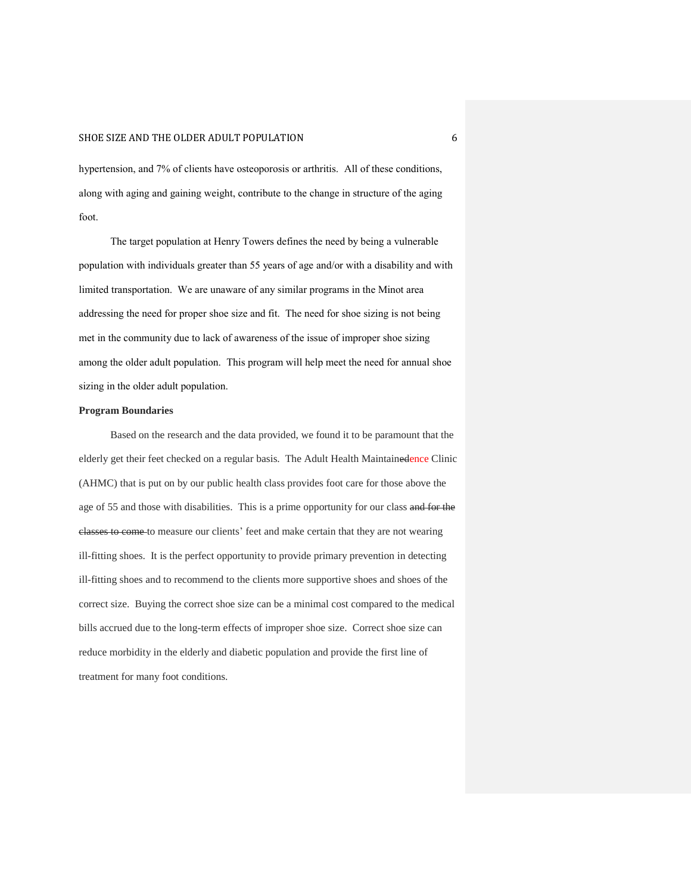hypertension, and 7% of clients have osteoporosis or arthritis. All of these conditions, along with aging and gaining weight, contribute to the change in structure of the aging foot.

The target population at Henry Towers defines the need by being a vulnerable population with individuals greater than 55 years of age and/or with a disability and with limited transportation. We are unaware of any similar programs in the Minot area addressing the need for proper shoe size and fit. The need for shoe sizing is not being met in the community due to lack of awareness of the issue of improper shoe sizing among the older adult population. This program will help meet the need for annual shoe sizing in the older adult population.

#### **Program Boundaries**

Based on the research and the data provided, we found it to be paramount that the elderly get their feet checked on a regular basis. The Adult Health Maintainedence Clinic (AHMC) that is put on by our public health class provides foot care for those above the age of 55 and those with disabilities. This is a prime opportunity for our class and for the classes to come to measure our clients' feet and make certain that they are not wearing ill-fitting shoes. It is the perfect opportunity to provide primary prevention in detecting ill-fitting shoes and to recommend to the clients more supportive shoes and shoes of the correct size. Buying the correct shoe size can be a minimal cost compared to the medical bills accrued due to the long-term effects of improper shoe size. Correct shoe size can reduce morbidity in the elderly and diabetic population and provide the first line of treatment for many foot conditions.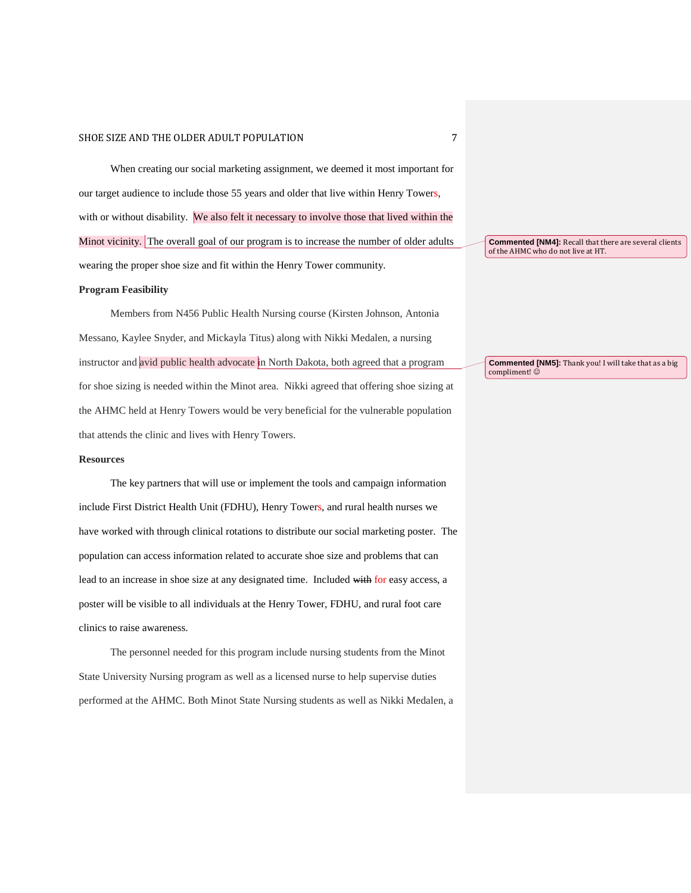When creating our social marketing assignment, we deemed it most important for our target audience to include those 55 years and older that live within Henry Towers, with or without disability. We also felt it necessary to involve those that lived within the Minot vicinity. The overall goal of our program is to increase the number of older adults wearing the proper shoe size and fit within the Henry Tower community.

#### **Program Feasibility**

Members from N456 Public Health Nursing course (Kirsten Johnson, Antonia Messano, Kaylee Snyder, and Mickayla Titus) along with Nikki Medalen, a nursing instructor and avid public health advocate in North Dakota, both agreed that a program for shoe sizing is needed within the Minot area. Nikki agreed that offering shoe sizing at the AHMC held at Henry Towers would be very beneficial for the vulnerable population that attends the clinic and lives with Henry Towers.

#### **Resources**

The key partners that will use or implement the tools and campaign information include First District Health Unit (FDHU), Henry Towers, and rural health nurses we have worked with through clinical rotations to distribute our social marketing poster. The population can access information related to accurate shoe size and problems that can lead to an increase in shoe size at any designated time. Included with for easy access, a poster will be visible to all individuals at the Henry Tower, FDHU, and rural foot care clinics to raise awareness.

The personnel needed for this program include nursing students from the Minot State University Nursing program as well as a licensed nurse to help supervise duties performed at the AHMC. Both Minot State Nursing students as well as Nikki Medalen, a **Commented [NM4]:** Recall that there are several clients of the AHMC who do not live at HT.

**Commented [NM5]:** Thank you! I will take that as a big compliment!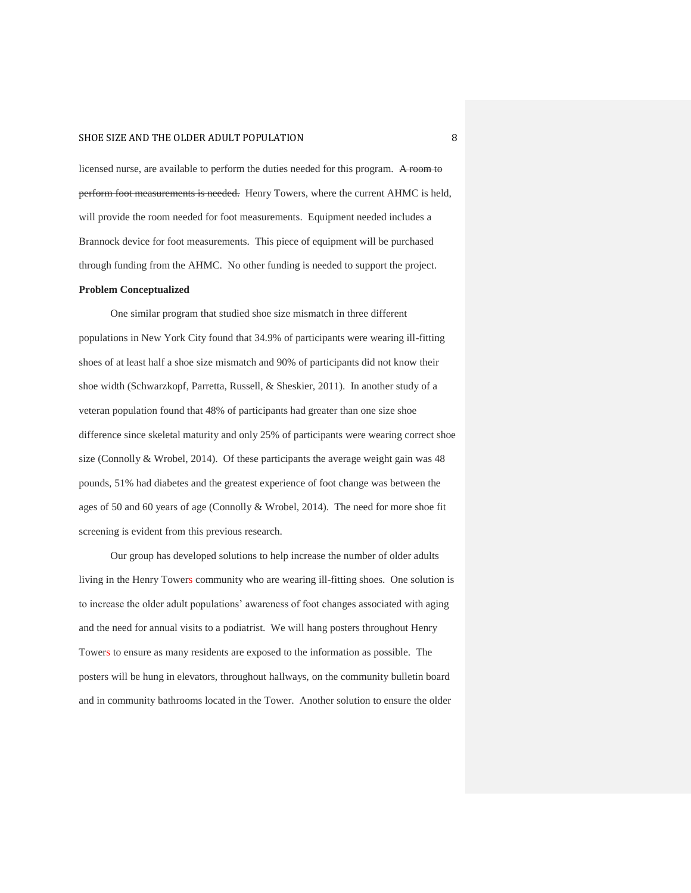licensed nurse, are available to perform the duties needed for this program. A room to perform foot measurements is needed. Henry Towers, where the current AHMC is held, will provide the room needed for foot measurements. Equipment needed includes a Brannock device for foot measurements. This piece of equipment will be purchased through funding from the AHMC. No other funding is needed to support the project.

#### **Problem Conceptualized**

One similar program that studied shoe size mismatch in three different populations in New York City found that 34.9% of participants were wearing ill-fitting shoes of at least half a shoe size mismatch and 90% of participants did not know their shoe width (Schwarzkopf, Parretta, Russell, & Sheskier, 2011). In another study of a veteran population found that 48% of participants had greater than one size shoe difference since skeletal maturity and only 25% of participants were wearing correct shoe size (Connolly & Wrobel, 2014). Of these participants the average weight gain was 48 pounds, 51% had diabetes and the greatest experience of foot change was between the ages of 50 and 60 years of age (Connolly & Wrobel, 2014). The need for more shoe fit screening is evident from this previous research.

Our group has developed solutions to help increase the number of older adults living in the Henry Towers community who are wearing ill-fitting shoes. One solution is to increase the older adult populations' awareness of foot changes associated with aging and the need for annual visits to a podiatrist. We will hang posters throughout Henry Towers to ensure as many residents are exposed to the information as possible. The posters will be hung in elevators, throughout hallways, on the community bulletin board and in community bathrooms located in the Tower. Another solution to ensure the older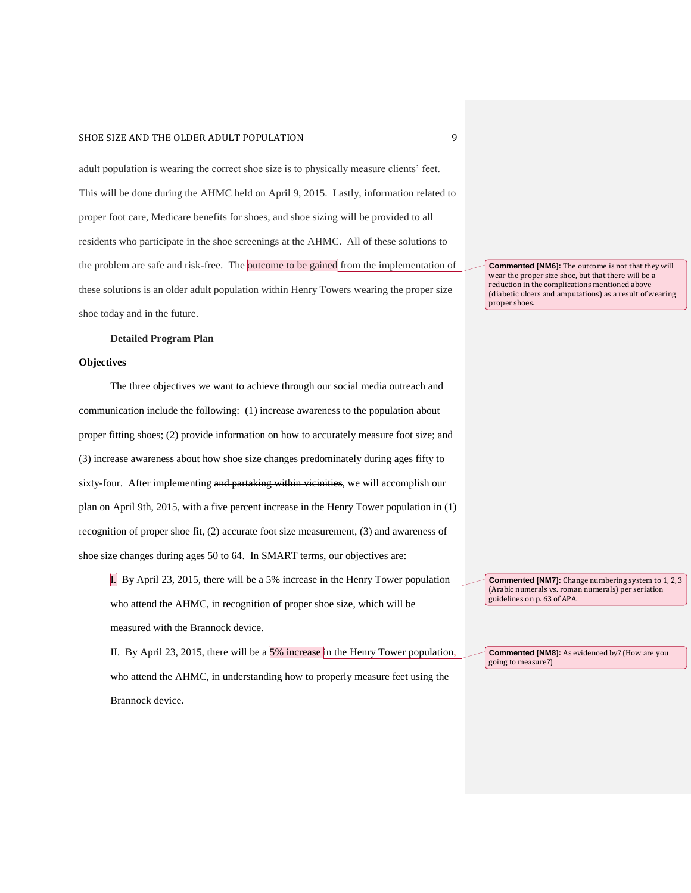adult population is wearing the correct shoe size is to physically measure clients' feet. This will be done during the AHMC held on April 9, 2015. Lastly, information related to proper foot care, Medicare benefits for shoes, and shoe sizing will be provided to all residents who participate in the shoe screenings at the AHMC. All of these solutions to the problem are safe and risk-free. The outcome to be gained from the implementation of these solutions is an older adult population within Henry Towers wearing the proper size shoe today and in the future.

#### **Detailed Program Plan**

#### **Objectives**

The three objectives we want to achieve through our social media outreach and communication include the following: (1) increase awareness to the population about proper fitting shoes; (2) provide information on how to accurately measure foot size; and (3) increase awareness about how shoe size changes predominately during ages fifty to sixty-four. After implementing and partaking within vicinities, we will accomplish our plan on April 9th, 2015, with a five percent increase in the Henry Tower population in (1) recognition of proper shoe fit, (2) accurate foot size measurement, (3) and awareness of shoe size changes during ages 50 to 64. In SMART terms, our objectives are:

I. By April 23, 2015, there will be a 5% increase in the Henry Tower population who attend the AHMC, in recognition of proper shoe size, which will be measured with the Brannock device.

II. By April 23, 2015, there will be a  $5\%$  increase in the Henry Tower population, who attend the AHMC, in understanding how to properly measure feet using the Brannock device.

**Commented [NM6]:** The outcome is not that they will wear the proper size shoe, but that there will be a reduction in the complications mentioned above

(diabetic ulcers and amputations) as a result of wearing

proper shoes.

**Commented [NM7]:** Change numbering system to 1, 2, 3 (Arabic numerals vs. roman numerals) per seriation guidelines on p. 63 of APA.

**Commented [NM8]:** As evidenced by? (How are you going to measure?)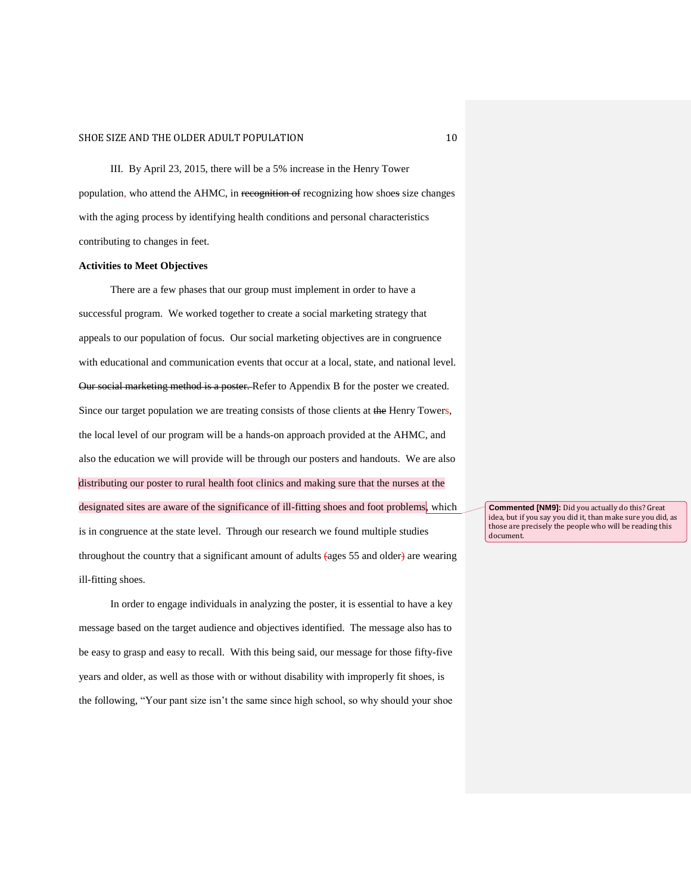III. By April 23, 2015, there will be a 5% increase in the Henry Tower population, who attend the AHMC, in recognition of recognizing how shoes size changes with the aging process by identifying health conditions and personal characteristics contributing to changes in feet.

#### **Activities to Meet Objectives**

There are a few phases that our group must implement in order to have a successful program. We worked together to create a social marketing strategy that appeals to our population of focus. Our social marketing objectives are in congruence with educational and communication events that occur at a local, state, and national level. Our social marketing method is a poster. Refer to Appendix B for the poster we created. Since our target population we are treating consists of those clients at the Henry Towers, the local level of our program will be a hands-on approach provided at the AHMC, and also the education we will provide will be through our posters and handouts. We are also distributing our poster to rural health foot clinics and making sure that the nurses at the designated sites are aware of the significance of ill-fitting shoes and foot problems, which is in congruence at the state level. Through our research we found multiple studies throughout the country that a significant amount of adults (ages 55 and older) are wearing ill-fitting shoes.

In order to engage individuals in analyzing the poster, it is essential to have a key message based on the target audience and objectives identified. The message also has to be easy to grasp and easy to recall. With this being said, our message for those fifty-five years and older, as well as those with or without disability with improperly fit shoes, is the following, "Your pant size isn't the same since high school, so why should your shoe

**Commented [NM9]:** Did you actually do this? Great idea, but if you say you did it, than make sure you did, as those are precisely the people who will be reading this document.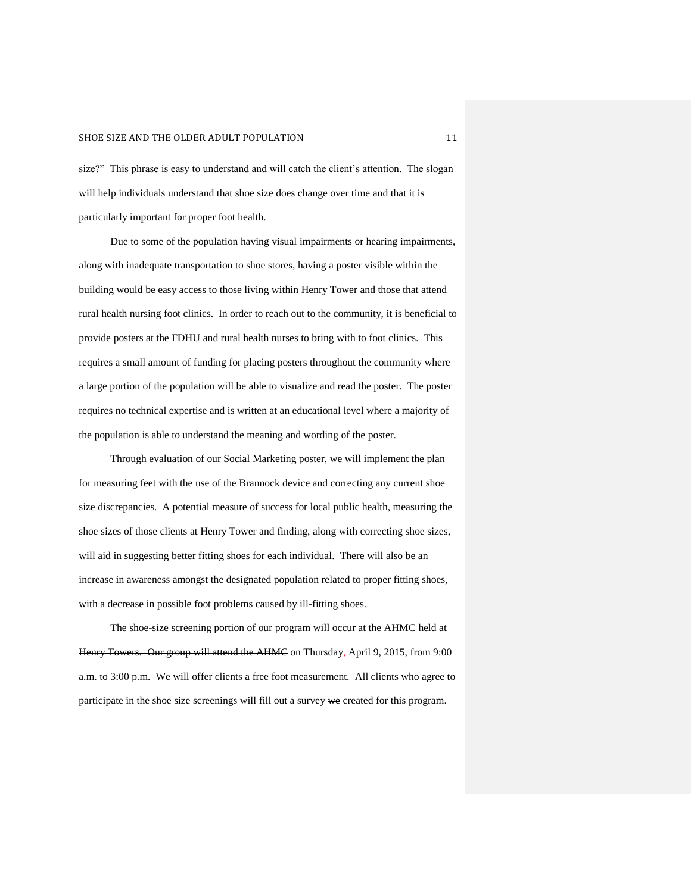size?" This phrase is easy to understand and will catch the client's attention. The slogan will help individuals understand that shoe size does change over time and that it is particularly important for proper foot health.

Due to some of the population having visual impairments or hearing impairments, along with inadequate transportation to shoe stores, having a poster visible within the building would be easy access to those living within Henry Tower and those that attend rural health nursing foot clinics. In order to reach out to the community, it is beneficial to provide posters at the FDHU and rural health nurses to bring with to foot clinics. This requires a small amount of funding for placing posters throughout the community where a large portion of the population will be able to visualize and read the poster. The poster requires no technical expertise and is written at an educational level where a majority of the population is able to understand the meaning and wording of the poster.

Through evaluation of our Social Marketing poster, we will implement the plan for measuring feet with the use of the Brannock device and correcting any current shoe size discrepancies. A potential measure of success for local public health, measuring the shoe sizes of those clients at Henry Tower and finding, along with correcting shoe sizes, will aid in suggesting better fitting shoes for each individual. There will also be an increase in awareness amongst the designated population related to proper fitting shoes, with a decrease in possible foot problems caused by ill-fitting shoes.

The shoe-size screening portion of our program will occur at the AHMC held at Henry Towers. Our group will attend the AHMC on Thursday, April 9, 2015, from 9:00 a.m. to 3:00 p.m. We will offer clients a free foot measurement. All clients who agree to participate in the shoe size screenings will fill out a survey we created for this program.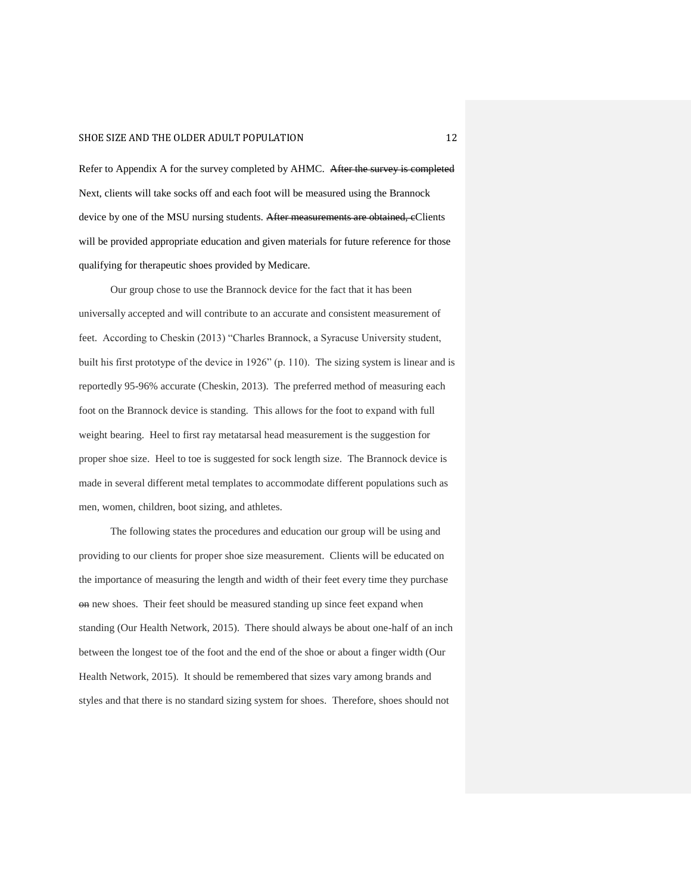Refer to Appendix A for the survey completed by AHMC. After the survey is completed Next, clients will take socks off and each foot will be measured using the Brannock device by one of the MSU nursing students. After measurements are obtained, eClients will be provided appropriate education and given materials for future reference for those qualifying for therapeutic shoes provided by Medicare.

Our group chose to use the Brannock device for the fact that it has been universally accepted and will contribute to an accurate and consistent measurement of feet. According to Cheskin (2013) "Charles Brannock, a Syracuse University student, built his first prototype of the device in 1926" (p. 110). The sizing system is linear and is reportedly 95-96% accurate (Cheskin, 2013). The preferred method of measuring each foot on the Brannock device is standing. This allows for the foot to expand with full weight bearing. Heel to first ray metatarsal head measurement is the suggestion for proper shoe size. Heel to toe is suggested for sock length size. The Brannock device is made in several different metal templates to accommodate different populations such as men, women, children, boot sizing, and athletes.

The following states the procedures and education our group will be using and providing to our clients for proper shoe size measurement. Clients will be educated on the importance of measuring the length and width of their feet every time they purchase on new shoes. Their feet should be measured standing up since feet expand when standing (Our Health Network, 2015). There should always be about one-half of an inch between the longest toe of the foot and the end of the shoe or about a finger width (Our Health Network, 2015). It should be remembered that sizes vary among brands and styles and that there is no standard sizing system for shoes. Therefore, shoes should not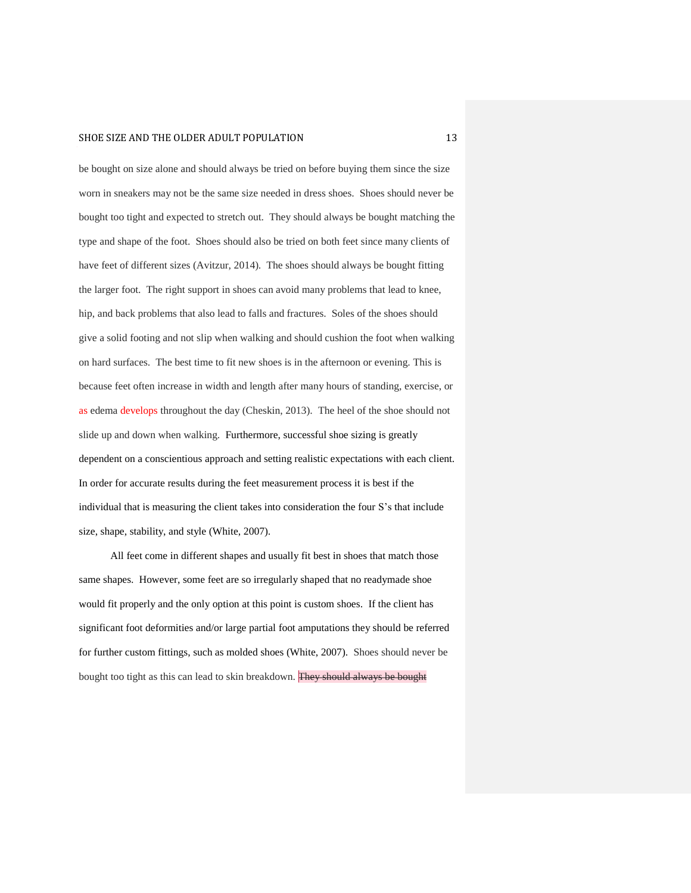be bought on size alone and should always be tried on before buying them since the size worn in sneakers may not be the same size needed in dress shoes. Shoes should never be bought too tight and expected to stretch out. They should always be bought matching the type and shape of the foot. Shoes should also be tried on both feet since many clients of have feet of different sizes (Avitzur, 2014). The shoes should always be bought fitting the larger foot. The right support in shoes can avoid many problems that lead to knee, hip, and back problems that also lead to falls and fractures. Soles of the shoes should give a solid footing and not slip when walking and should cushion the foot when walking on hard surfaces. The best time to fit new shoes is in the afternoon or evening. This is because feet often increase in width and length after many hours of standing, exercise, or as edema develops throughout the day (Cheskin, 2013). The heel of the shoe should not slide up and down when walking. Furthermore, successful shoe sizing is greatly dependent on a conscientious approach and setting realistic expectations with each client. In order for accurate results during the feet measurement process it is best if the individual that is measuring the client takes into consideration the four S's that include size, shape, stability, and style (White, 2007).

All feet come in different shapes and usually fit best in shoes that match those same shapes. However, some feet are so irregularly shaped that no readymade shoe would fit properly and the only option at this point is custom shoes. If the client has significant foot deformities and/or large partial foot amputations they should be referred for further custom fittings, such as molded shoes (White, 2007). Shoes should never be bought too tight as this can lead to skin breakdown. They should always be bought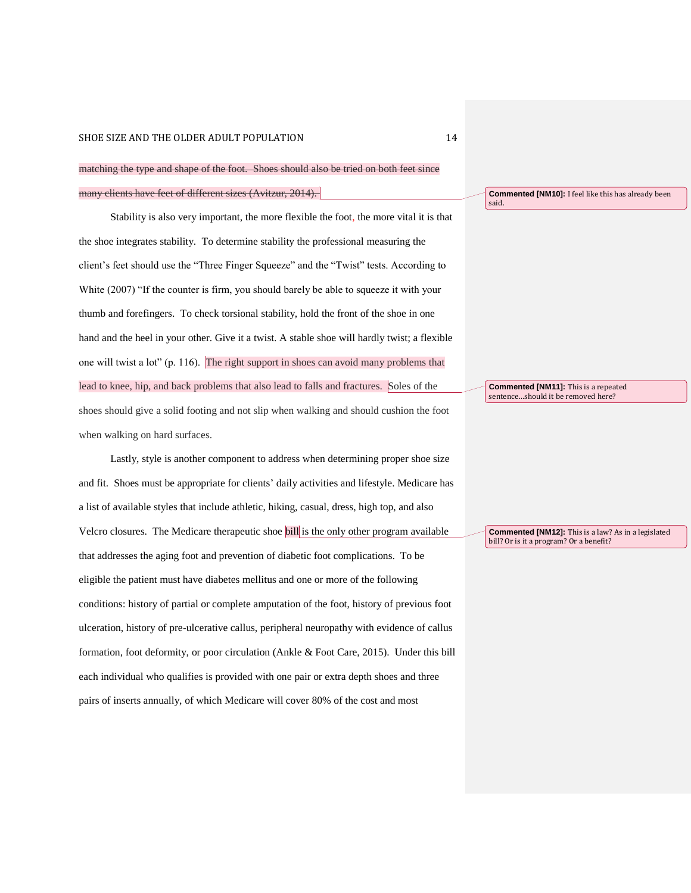## matching the type and shape of the foot. Shoes should also be tried on both feet since many clients have feet of different sizes (Avitzur, 2014).

Stability is also very important, the more flexible the foot, the more vital it is that the shoe integrates stability. To determine stability the professional measuring the client's feet should use the "Three Finger Squeeze" and the "Twist" tests. According to White (2007) "If the counter is firm, you should barely be able to squeeze it with your thumb and forefingers. To check torsional stability, hold the front of the shoe in one hand and the heel in your other. Give it a twist. A stable shoe will hardly twist; a flexible one will twist a lot" (p. 116). The right support in shoes can avoid many problems that lead to knee, hip, and back problems that also lead to falls and fractures. Soles of the shoes should give a solid footing and not slip when walking and should cushion the foot when walking on hard surfaces.

Lastly, style is another component to address when determining proper shoe size and fit. Shoes must be appropriate for clients' daily activities and lifestyle. Medicare has a list of available styles that include athletic, hiking, casual, dress, high top, and also Velcro closures. The Medicare therapeutic shoe **bill** is the only other program available that addresses the aging foot and prevention of diabetic foot complications. To be eligible the patient must have diabetes mellitus and one or more of the following conditions: history of partial or complete amputation of the foot, history of previous foot ulceration, history of pre-ulcerative callus, peripheral neuropathy with evidence of callus formation, foot deformity, or poor circulation (Ankle & Foot Care, 2015). Under this bill each individual who qualifies is provided with one pair or extra depth shoes and three pairs of inserts annually, of which Medicare will cover 80% of the cost and most

**Commented [NM10]:** I feel like this has already been said.

**Commented [NM11]:** This is a repeated sentence…should it be removed here?

**Commented [NM12]:** This is a law? As in a legislated bill? Or is it a program? Or a benefit?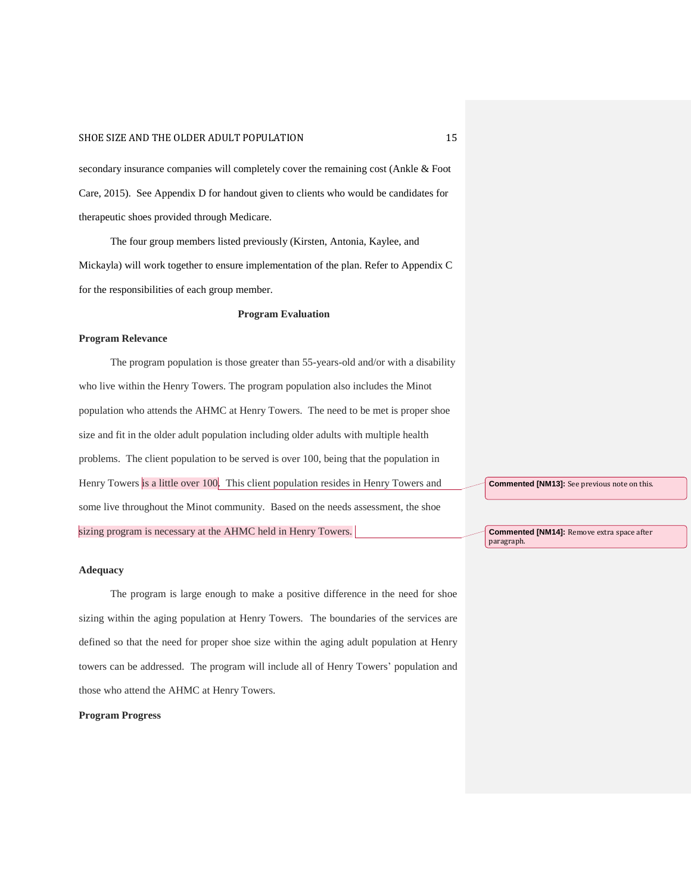secondary insurance companies will completely cover the remaining cost (Ankle & Foot Care, 2015). See Appendix D for handout given to clients who would be candidates for therapeutic shoes provided through Medicare.

The four group members listed previously (Kirsten, Antonia, Kaylee, and Mickayla) will work together to ensure implementation of the plan. Refer to Appendix C for the responsibilities of each group member.

#### **Program Evaluation**

#### **Program Relevance**

The program population is those greater than 55-years-old and/or with a disability who live within the Henry Towers. The program population also includes the Minot population who attends the AHMC at Henry Towers. The need to be met is proper shoe size and fit in the older adult population including older adults with multiple health problems. The client population to be served is over 100, being that the population in Henry Towers is a little over 100. This client population resides in Henry Towers and some live throughout the Minot community. Based on the needs assessment, the shoe sizing program is necessary at the AHMC held in Henry Towers.

**Commented [NM13]:** See previous note on this.

**Commented [NM14]:** Remove extra space after paragraph.

#### **Adequacy**

The program is large enough to make a positive difference in the need for shoe sizing within the aging population at Henry Towers. The boundaries of the services are defined so that the need for proper shoe size within the aging adult population at Henry towers can be addressed. The program will include all of Henry Towers' population and those who attend the AHMC at Henry Towers.

#### **Program Progress**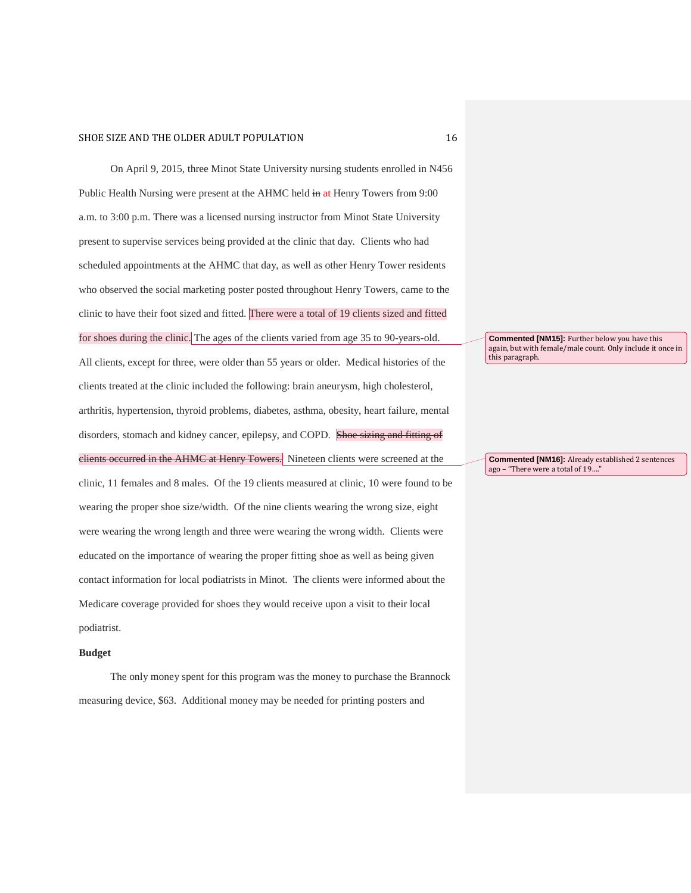On April 9, 2015, three Minot State University nursing students enrolled in N456 Public Health Nursing were present at the AHMC held in at Henry Towers from 9:00 a.m. to 3:00 p.m. There was a licensed nursing instructor from Minot State University present to supervise services being provided at the clinic that day. Clients who had scheduled appointments at the AHMC that day, as well as other Henry Tower residents who observed the social marketing poster posted throughout Henry Towers, came to the clinic to have their foot sized and fitted. There were a total of 19 clients sized and fitted for shoes during the clinic. The ages of the clients varied from age 35 to 90-years-old. All clients, except for three, were older than 55 years or older. Medical histories of the clients treated at the clinic included the following: brain aneurysm, high cholesterol, arthritis, hypertension, thyroid problems, diabetes, asthma, obesity, heart failure, mental disorders, stomach and kidney cancer, epilepsy, and COPD. Shoe sizing and fitting of clients occurred in the AHMC at Henry Towers. Nineteen clients were screened at the clinic, 11 females and 8 males. Of the 19 clients measured at clinic, 10 were found to be wearing the proper shoe size/width. Of the nine clients wearing the wrong size, eight were wearing the wrong length and three were wearing the wrong width. Clients were educated on the importance of wearing the proper fitting shoe as well as being given contact information for local podiatrists in Minot. The clients were informed about the Medicare coverage provided for shoes they would receive upon a visit to their local podiatrist.

#### **Budget**

The only money spent for this program was the money to purchase the Brannock measuring device, \$63. Additional money may be needed for printing posters and

**Commented [NM15]:** Further below you have this again, but with female/male count. Only include it once in this paragraph.

**Commented [NM16]:** Already established 2 sentences ago – "There were a total of 19...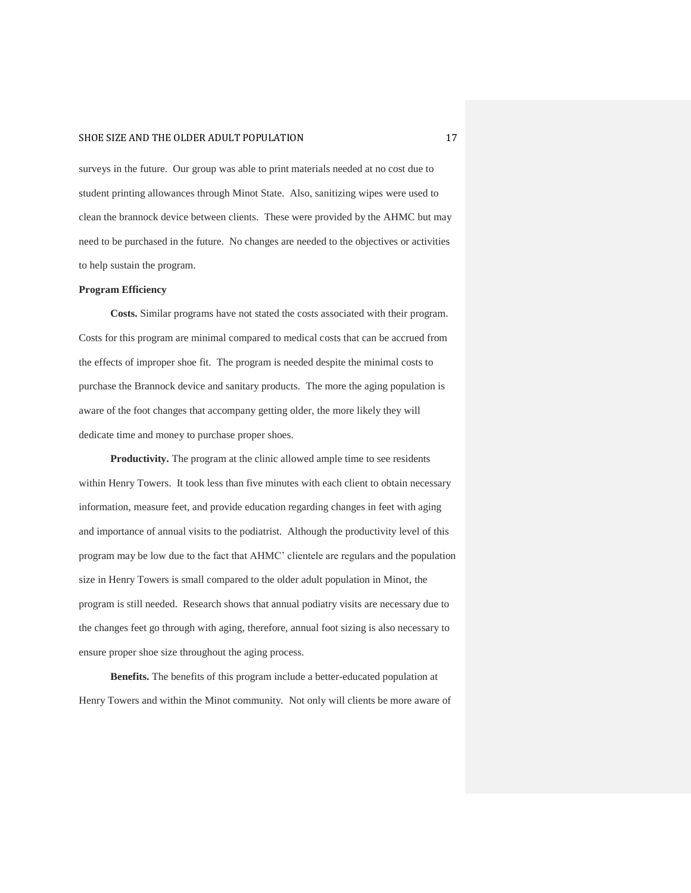surveys in the future. Our group was able to print materials needed at no cost due to student printing allowances through Minot State. Also, sanitizing wipes were used to clean the brannock device between clients. These were provided by the AHMC but may need to be purchased in the future. No changes are needed to the objectives or activities to help sustain the program.

#### **Program Efficiency**

**Costs.** Similar programs have not stated the costs associated with their program. Costs for this program are minimal compared to medical costs that can be accrued from the effects of improper shoe fit. The program is needed despite the minimal costs to purchase the Brannock device and sanitary products. The more the aging population is aware of the foot changes that accompany getting older, the more likely they will dedicate time and money to purchase proper shoes.

**Productivity.** The program at the clinic allowed ample time to see residents within Henry Towers. It took less than five minutes with each client to obtain necessary information, measure feet, and provide education regarding changes in feet with aging and importance of annual visits to the podiatrist. Although the productivity level of this program may be low due to the fact that AHMC' clientele are regulars and the population size in Henry Towers is small compared to the older adult population in Minot, the program is still needed. Research shows that annual podiatry visits are necessary due to the changes feet go through with aging, therefore, annual foot sizing is also necessary to ensure proper shoe size throughout the aging process.

**Benefits.** The benefits of this program include a better-educated population at Henry Towers and within the Minot community. Not only will clients be more aware of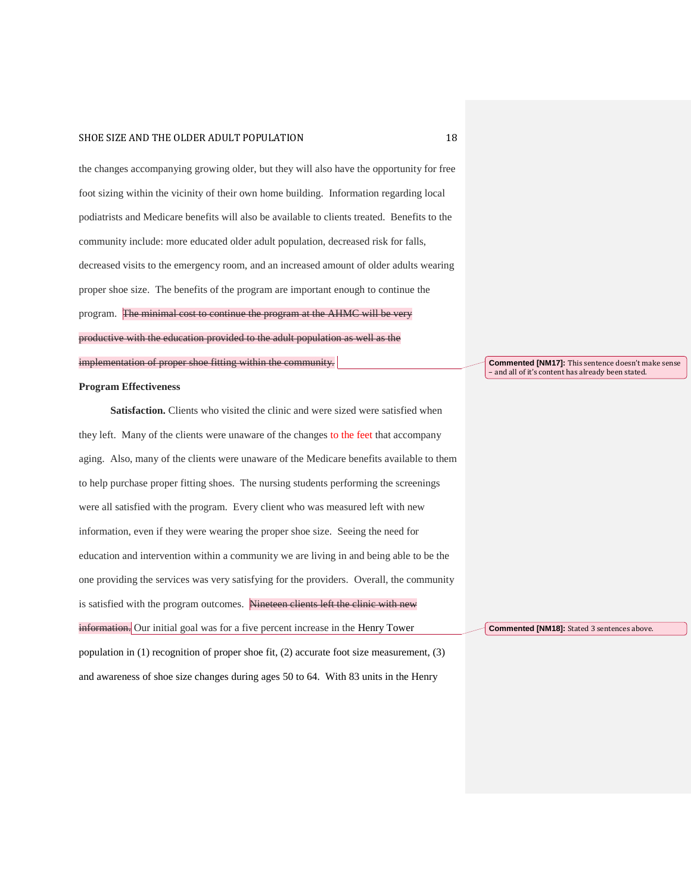the changes accompanying growing older, but they will also have the opportunity for free foot sizing within the vicinity of their own home building. Information regarding local podiatrists and Medicare benefits will also be available to clients treated. Benefits to the community include: more educated older adult population, decreased risk for falls, decreased visits to the emergency room, and an increased amount of older adults wearing proper shoe size. The benefits of the program are important enough to continue the program. The minimal cost to continue the program at the AHMC will be very productive with the education provided to the adult population as well as the implementation of proper shoe fitting within the community.

#### **Program Effectiveness**

Satisfaction. Clients who visited the clinic and were sized were satisfied when they left. Many of the clients were unaware of the changes to the feet that accompany aging. Also, many of the clients were unaware of the Medicare benefits available to them to help purchase proper fitting shoes. The nursing students performing the screenings were all satisfied with the program. Every client who was measured left with new information, even if they were wearing the proper shoe size. Seeing the need for education and intervention within a community we are living in and being able to be the one providing the services was very satisfying for the providers. Overall, the community is satisfied with the program outcomes. Nineteen clients left the clinic with new information. Our initial goal was for a five percent increase in the Henry Tower population in (1) recognition of proper shoe fit, (2) accurate foot size measurement, (3)

and awareness of shoe size changes during ages 50 to 64. With 83 units in the Henry

**Commented [NM17]:** This sentence doesn't make sense – and all of it's content has already been stated.

**Commented [NM18]:** Stated 3 sentences above.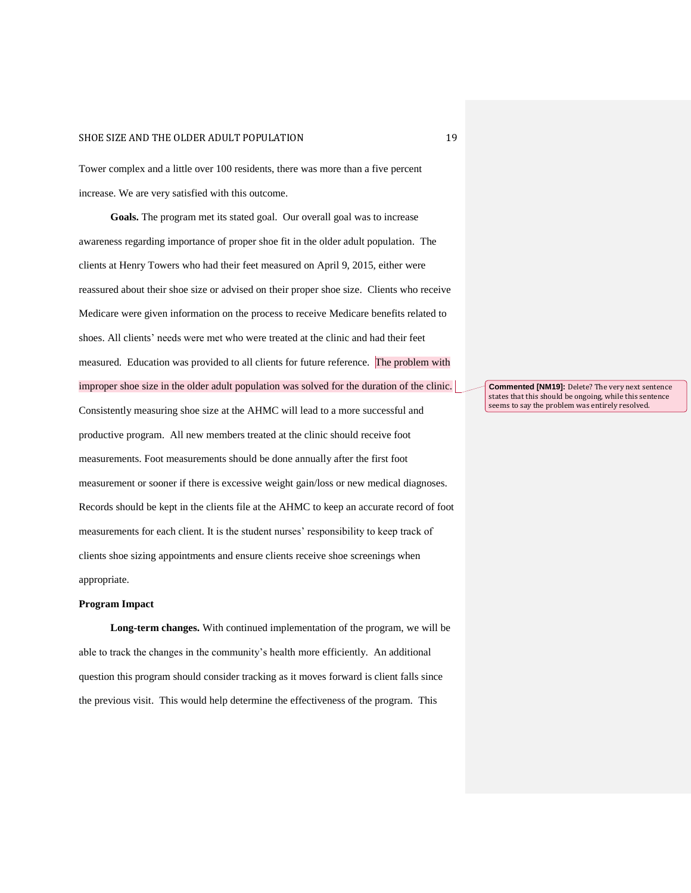Tower complex and a little over 100 residents, there was more than a five percent increase. We are very satisfied with this outcome.

**Goals.** The program met its stated goal. Our overall goal was to increase awareness regarding importance of proper shoe fit in the older adult population. The clients at Henry Towers who had their feet measured on April 9, 2015, either were reassured about their shoe size or advised on their proper shoe size. Clients who receive Medicare were given information on the process to receive Medicare benefits related to shoes. All clients' needs were met who were treated at the clinic and had their feet measured. Education was provided to all clients for future reference. The problem with improper shoe size in the older adult population was solved for the duration of the clinic. Consistently measuring shoe size at the AHMC will lead to a more successful and productive program. All new members treated at the clinic should receive foot measurements. Foot measurements should be done annually after the first foot measurement or sooner if there is excessive weight gain/loss or new medical diagnoses. Records should be kept in the clients file at the AHMC to keep an accurate record of foot measurements for each client. It is the student nurses' responsibility to keep track of clients shoe sizing appointments and ensure clients receive shoe screenings when appropriate.

#### **Program Impact**

**Long-term changes.** With continued implementation of the program, we will be able to track the changes in the community's health more efficiently. An additional question this program should consider tracking as it moves forward is client falls since the previous visit. This would help determine the effectiveness of the program. This

**Commented [NM19]:** Delete? The very next sentence states that this should be ongoing, while this sentence seems to say the problem was entirely resolved.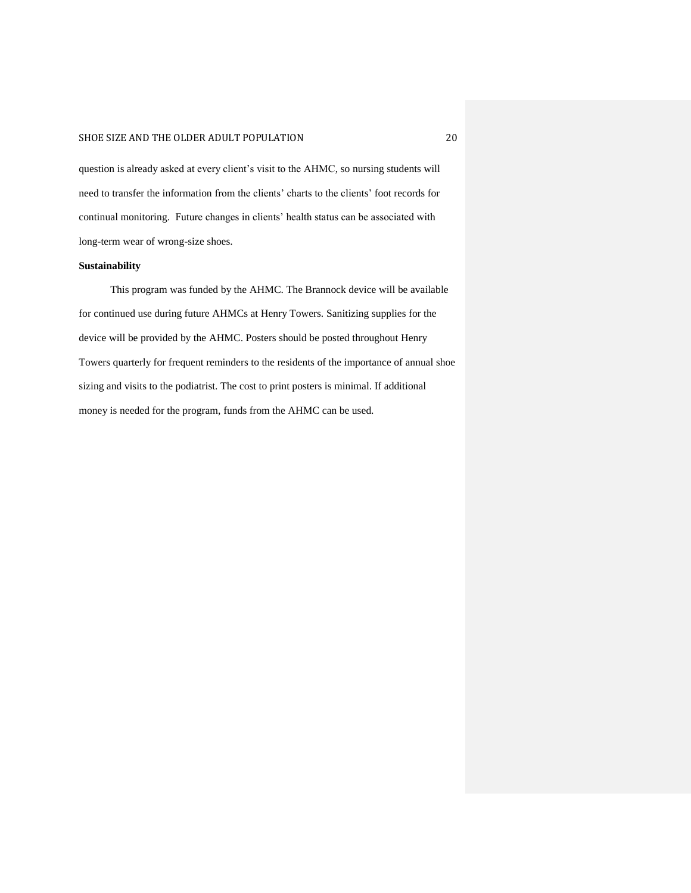question is already asked at every client's visit to the AHMC, so nursing students will need to transfer the information from the clients' charts to the clients' foot records for continual monitoring. Future changes in clients' health status can be associated with long-term wear of wrong-size shoes.

#### **Sustainability**

This program was funded by the AHMC. The Brannock device will be available for continued use during future AHMCs at Henry Towers. Sanitizing supplies for the device will be provided by the AHMC. Posters should be posted throughout Henry Towers quarterly for frequent reminders to the residents of the importance of annual shoe sizing and visits to the podiatrist. The cost to print posters is minimal. If additional money is needed for the program, funds from the AHMC can be used.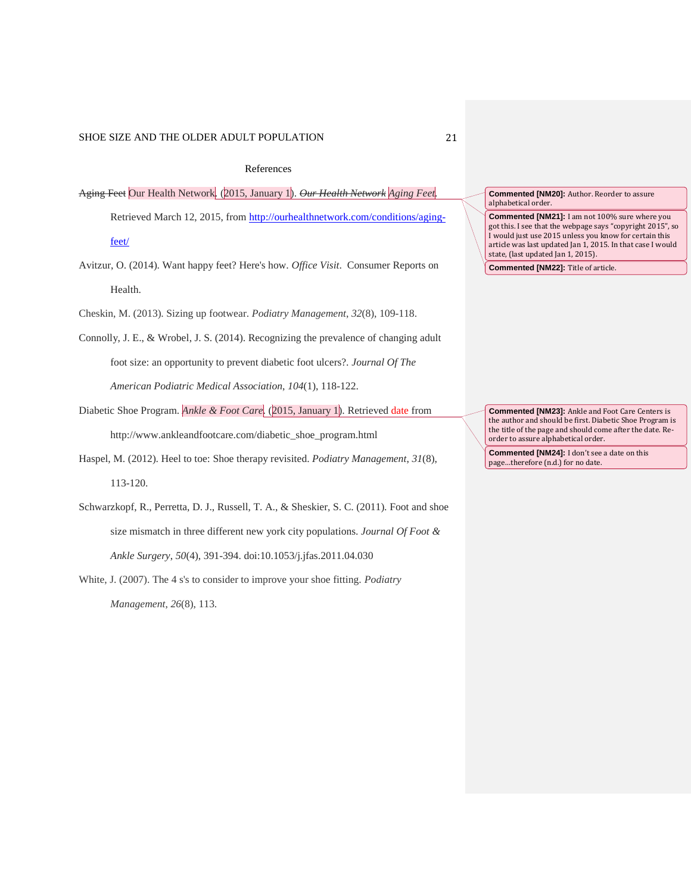#### References

- Aging Feet Our Health Network. (2015, January 1). *Our Health Network Aging Feet*. Retrieved March 12, 2015, from [http://ourhealthnetwork.com/conditions/aging](http://ourhealthnetwork.com/conditions/aging-%09feet/)[feet/](http://ourhealthnetwork.com/conditions/aging-%09feet/)
- Avitzur, O. (2014). Want happy feet? Here's how. *Office Visit*. Consumer Reports on Health.
- Cheskin, M. (2013). Sizing up footwear. *Podiatry Management*, *32*(8), 109-118.
- Connolly, J. E., & Wrobel, J. S. (2014). Recognizing the prevalence of changing adult foot size: an opportunity to prevent diabetic foot ulcers?. *Journal Of The American Podiatric Medical Association*, *104*(1), 118-122.
- Diabetic Shoe Program. *Ankle & Foot Care*. (2015, January 1). Retrieved date from http://www.ankleandfootcare.com/diabetic\_shoe\_program.html
- Haspel, M. (2012). Heel to toe: Shoe therapy revisited. *Podiatry Management*, *31*(8), 113-120.
- Schwarzkopf, R., Perretta, D. J., Russell, T. A., & Sheskier, S. C. (2011). Foot and shoe size mismatch in three different new york city populations. *Journal Of Foot & Ankle Surgery*, *50*(4), 391-394. doi:10.1053/j.jfas.2011.04.030
- White, J. (2007). The 4 s's to consider to improve your shoe fitting. *Podiatry Management*, *26*(8), 113.

**Commented [NM20]:** Author. Reorder to assure alphabetical order.

**Commented [NM21]:** I am not 100% sure where you got this. I see that the webpage says "copyright 2015", so I would just use 2015 unless you know for certain this article was last updated Jan 1, 2015. In that case I would state, (last updated Jan 1, 2015).

**Commented [NM22]:** Title of article.

**Commented [NM23]:** Ankle and Foot Care Centers is the author and should be first. Diabetic Shoe Program is the title of the page and should come after the date. Reorder to assure alphabetical order.

**Commented [NM24]:** I don't see a date on this page…therefore (n.d.) for no date.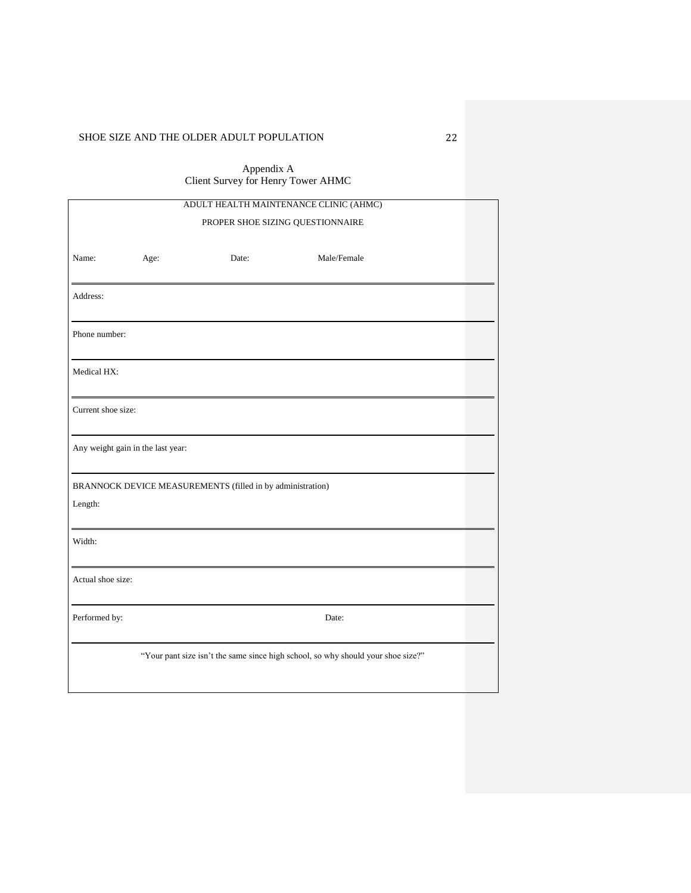Appendix A Client Survey for Henry Tower AHMC

| ADULT HEALTH MAINTENANCE CLINIC (AHMC)                                           |      |       |             |  |
|----------------------------------------------------------------------------------|------|-------|-------------|--|
| PROPER SHOE SIZING QUESTIONNAIRE                                                 |      |       |             |  |
| Name:                                                                            | Age: | Date: | Male/Female |  |
| Address:                                                                         |      |       |             |  |
| Phone number:                                                                    |      |       |             |  |
| Medical HX:                                                                      |      |       |             |  |
| Current shoe size:                                                               |      |       |             |  |
| Any weight gain in the last year:                                                |      |       |             |  |
| BRANNOCK DEVICE MEASUREMENTS (filled in by administration)                       |      |       |             |  |
| Length:                                                                          |      |       |             |  |
| Width:                                                                           |      |       |             |  |
| Actual shoe size:                                                                |      |       |             |  |
| Performed by:                                                                    |      |       | Date:       |  |
| "Your pant size isn't the same since high school, so why should your shoe size?" |      |       |             |  |
|                                                                                  |      |       |             |  |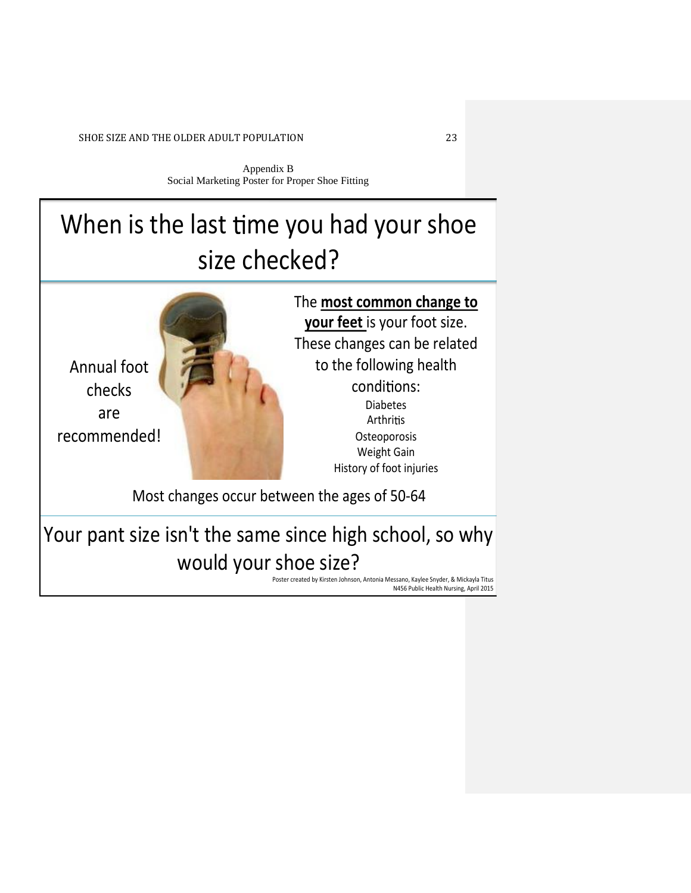Appendix B Social Marketing Poster for Proper Shoe Fitting

# When is the last time you had your shoe size checked?



Your pant size isn't the same since high school, so why would your shoe size?

> Poster created by Kirsten Johnson, Antonia Messano, Kaylee Snyder, & Mickayla Titus N456 Public Health Nursing, April 2015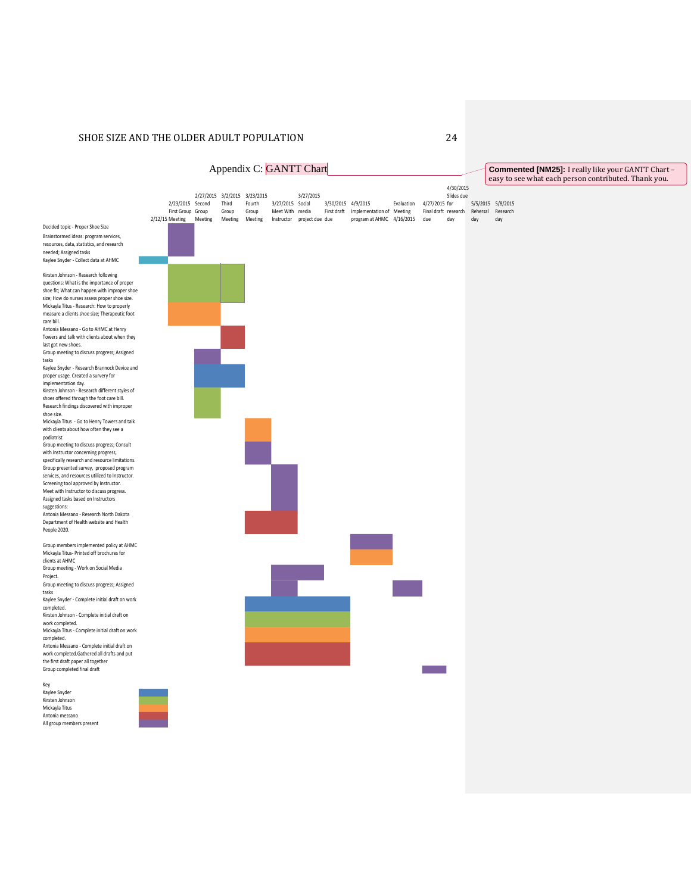

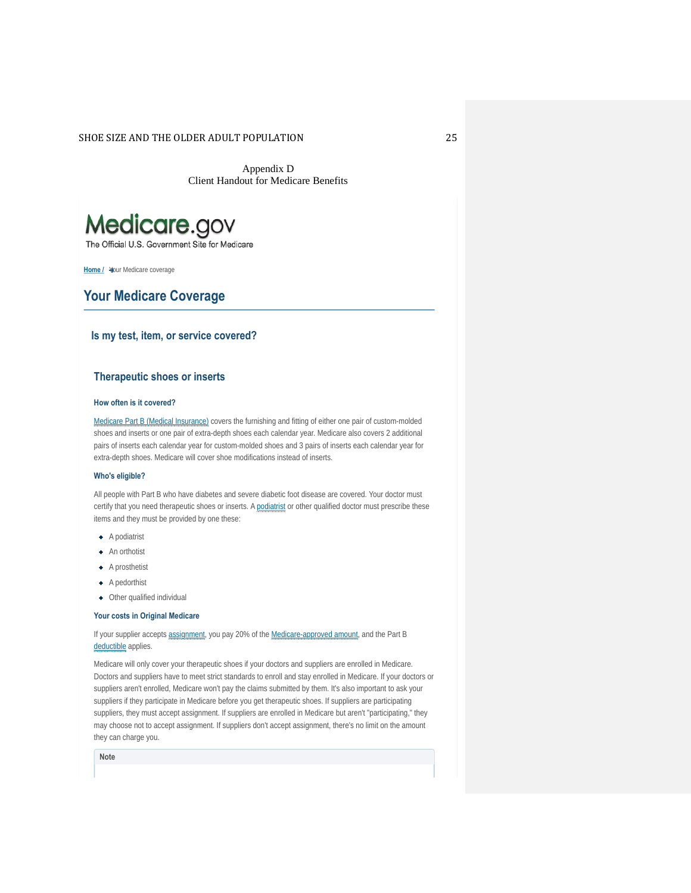Appendix D Client Handout for Medicare Benefits



The Official U.S. Government Site for Medicare

**Home / Your Medicare coverage** 

#### **Your Medicare Coverage**

#### **Is my test, item, or service covered?**

#### **Therapeutic shoes or inserts**

#### **How often is it covered?**

Medicare Part B (Medical Insurance) covers the furnishing and fitting of either one pair of custom-molded shoes and inserts or one pair of extra-depth shoes each calendar year. Medicare also covers 2 additional pairs of inserts each calendar year for custom-molded shoes and 3 pairs of inserts each calendar year for extra-depth shoes. Medicare will cover shoe modifications instead of inserts.

#### **Who's eligible?**

All people with Part B who have diabetes and severe diabetic foot disease are covered. Your doctor must certify that you need therapeutic shoes or inserts. A podiatrist or other qualified doctor must prescribe these items and they must be provided by one these:

- ◆ A podiatrist
- **+** An orthotist
- A prosthetist
- A pedorthist
- Other qualified individual

#### **Your costs in Original Medicare**

If your supplier accepts assignment, you pay 20% of the Medicare-approved amount, and the Part B deductible applies.

Medicare will only cover your therapeutic shoes if your doctors and suppliers are enrolled in Medicare. Doctors and suppliers have to meet strict standards to enroll and stay enrolled in Medicare. If your doctors or suppliers aren't enrolled, Medicare won't pay the claims submitted by them. It's also important to ask your suppliers if they participate in Medicare before you get therapeutic shoes. If suppliers are participating suppliers, they must accept assignment. If suppliers are enrolled in Medicare but aren't "participating," they may choose not to accept assignment. If suppliers don't accept assignment, there's no limit on the amount they can charge you.

**Note**